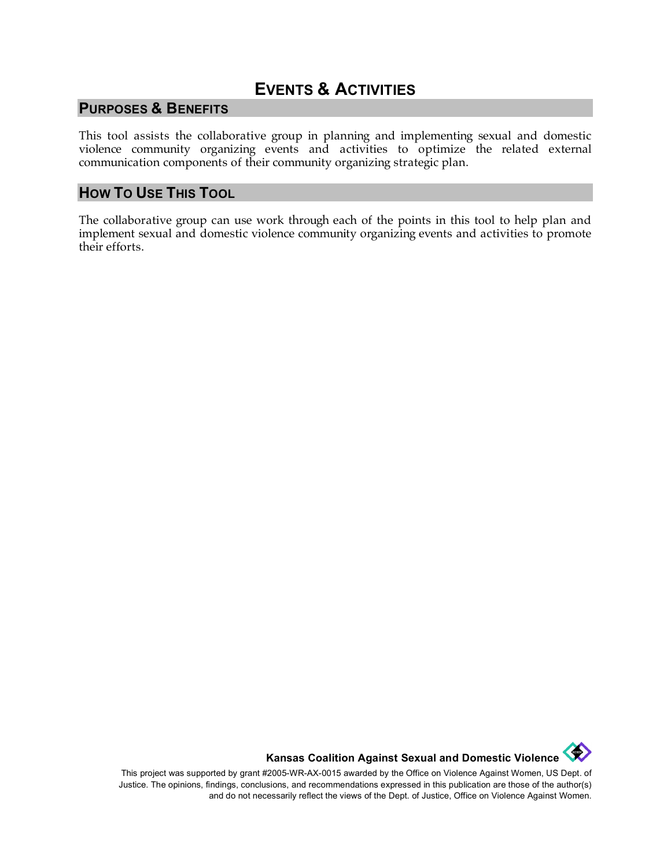## **EVENTS & ACTIVITIES**

## **PURPOSES & BENEFITS**

This tool assists the collaborative group in planning and implementing sexual and domestic violence community organizing events and activities to optimize the related external communication components of their community organizing strategic plan.

## **HOW TO USE THIS TOOL**

The collaborative group can use work through each of the points in this tool to help plan and implement sexual and domestic violence community organizing events and activities to promote their efforts.

**Kansas Coalition Against Sexual and Domestic Violence** 

This project was supported by grant #2005-WR-AX-0015 awarded by the Office on Violence Against Women, US Dept. of Justice. The opinions, findings, conclusions, and recommendations expressed in this publication are those of the author(s) and do not necessarily reflect the views of the Dept. of Justice, Office on Violence Against Women.